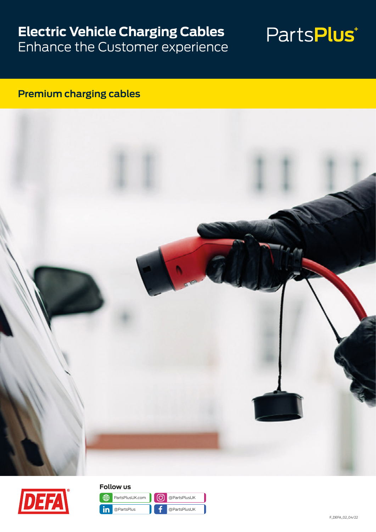## **Electric Vehicle Charging Cables**  Enhance the Customer experience

# PartsPlus<sup>+</sup>

### **Premium charging cables**